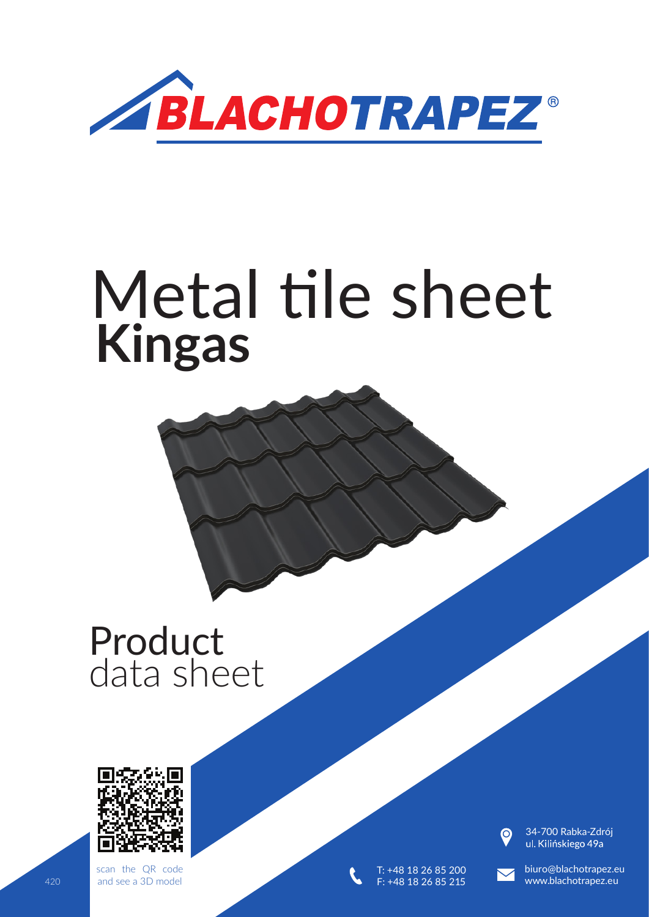

# Metal tile sheet **Kingas**

# Product data sheet



scan the QR code and see a 3D model



T: +48 18 26 85 200 F: +48 18 26 85 21

34-700 Rabka-Zdrój<br>ul. Kilińskiego 49a

biuro@blachotrapez.eu 420 and see a 3D model **1980 Contract Contract Contract Contract Contract Contract Contract Contract Contract Contract Contract Contract Contract Contract Contract Contract Contract Contract Contract Contract Contract Cont**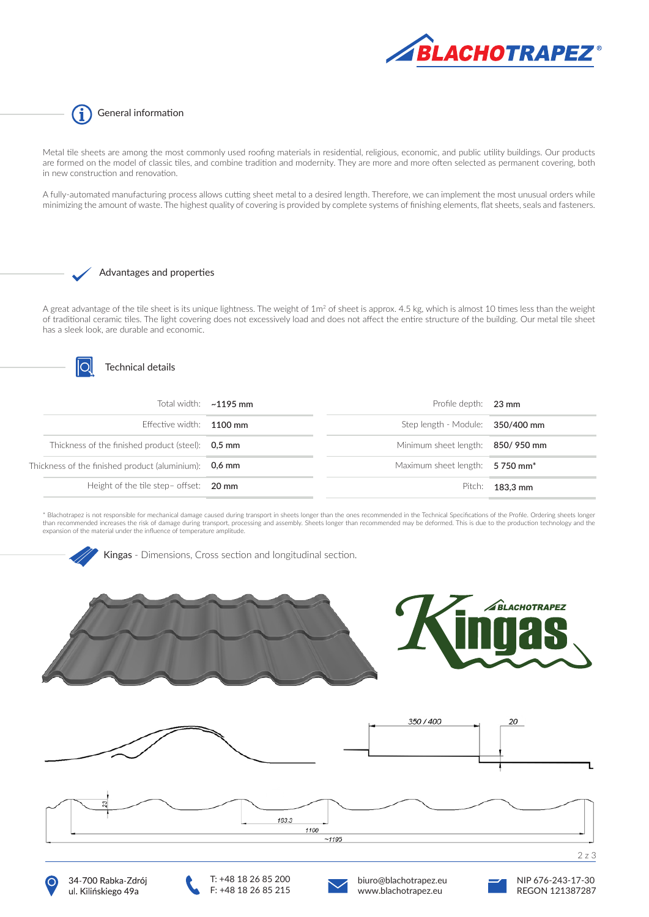

G General information

Metal tile sheets are among the most commonly used roofing materials in residential, religious, economic, and public utility buildings. Our products are formed on the model of classic tiles, and combine tradition and modernity. They are more and more often selected as permanent covering, both in new construction and renovation.

A fully-automated manufacturing process allows cutting sheet metal to a desired length. Therefore, we can implement the most unusual orders while minimizing the amount of waste. The highest quality of covering is provided by complete systems of finishing elements, flat sheets, seals and fasteners.

#### Advantages and properties

A great advantage of the tile sheet is its unique lightness. The weight of  $1m^2$  of sheet is approx. 4.5 kg, which is almost 10 times less than the weight of traditional ceramic tiles. The light covering does not excessively load and does not affect the entire structure of the building. Our metal tile sheet has a sleek look, are durable and economic.



#### Technical details

|                                                         | Total width: $\sim$ 1195 mm | Profile depth: 23 mm             |          |
|---------------------------------------------------------|-----------------------------|----------------------------------|----------|
| Effective width: $1100$ mm                              |                             | Step length - Module: 350/400 mm |          |
| Thickness of the finished product (steel): 0.5 mm       |                             | Minimum sheet length: 850/950 mm |          |
| Thickness of the finished product (aluminium): $0.6$ mm |                             | Maximum sheet length: 5750 mm*   |          |
| Height of the tile step- offset: $20 \text{ mm}$        |                             | Pitch:                           | 183.3 mm |

\* Blachotrapez is not responsible for mechanical damage caused during transport in sheets longer than the ones recommended in the Technical Specifications of the Profile. Ordering sheets longer<br>than recommended increases t expansion of the material under the influence of temperature amplitude.







T: +48 18 26 85 200 F: +48 18 26 85 215



biuro@blachotrapez.eu www.blachotrapez.eu